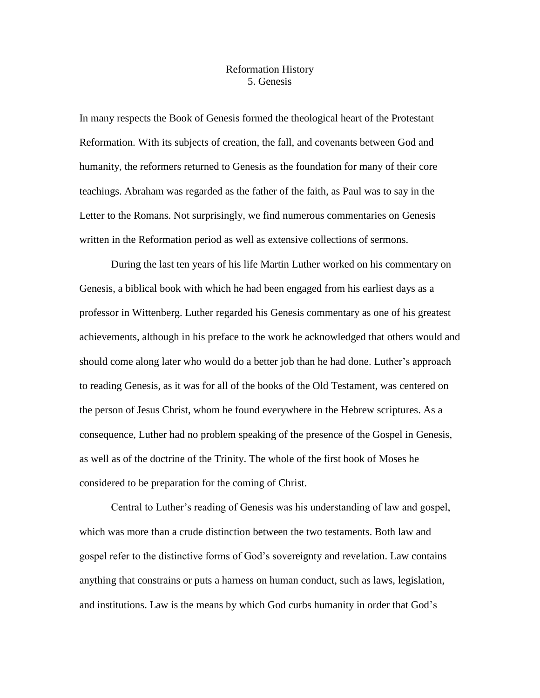## Reformation History 5. Genesis

In many respects the Book of Genesis formed the theological heart of the Protestant Reformation. With its subjects of creation, the fall, and covenants between God and humanity, the reformers returned to Genesis as the foundation for many of their core teachings. Abraham was regarded as the father of the faith, as Paul was to say in the Letter to the Romans. Not surprisingly, we find numerous commentaries on Genesis written in the Reformation period as well as extensive collections of sermons.

During the last ten years of his life Martin Luther worked on his commentary on Genesis, a biblical book with which he had been engaged from his earliest days as a professor in Wittenberg. Luther regarded his Genesis commentary as one of his greatest achievements, although in his preface to the work he acknowledged that others would and should come along later who would do a better job than he had done. Luther's approach to reading Genesis, as it was for all of the books of the Old Testament, was centered on the person of Jesus Christ, whom he found everywhere in the Hebrew scriptures. As a consequence, Luther had no problem speaking of the presence of the Gospel in Genesis, as well as of the doctrine of the Trinity. The whole of the first book of Moses he considered to be preparation for the coming of Christ.

Central to Luther's reading of Genesis was his understanding of law and gospel, which was more than a crude distinction between the two testaments. Both law and gospel refer to the distinctive forms of God's sovereignty and revelation. Law contains anything that constrains or puts a harness on human conduct, such as laws, legislation, and institutions. Law is the means by which God curbs humanity in order that God's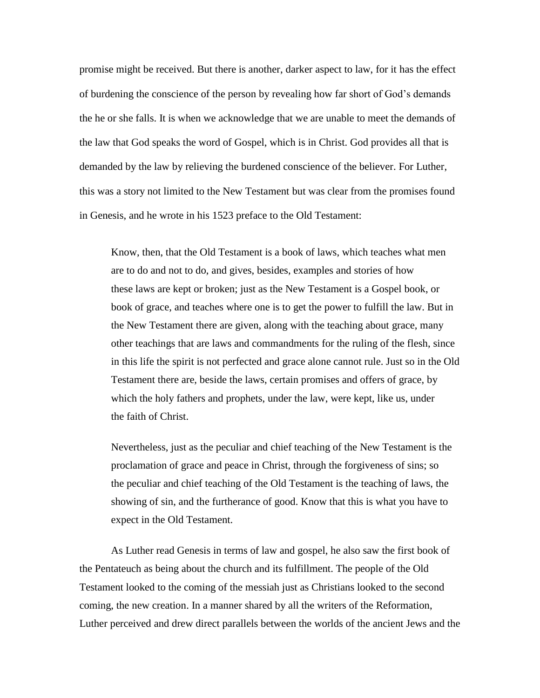promise might be received. But there is another, darker aspect to law, for it has the effect of burdening the conscience of the person by revealing how far short of God's demands the he or she falls. It is when we acknowledge that we are unable to meet the demands of the law that God speaks the word of Gospel, which is in Christ. God provides all that is demanded by the law by relieving the burdened conscience of the believer. For Luther, this was a story not limited to the New Testament but was clear from the promises found in Genesis, and he wrote in his 1523 preface to the Old Testament:

Know, then, that the Old Testament is a book of laws, which teaches what men are to do and not to do, and gives, besides, examples and stories of how these laws are kept or broken; just as the New Testament is a Gospel book, or book of grace, and teaches where one is to get the power to fulfill the law. But in the New Testament there are given, along with the teaching about grace, many other teachings that are laws and commandments for the ruling of the flesh, since in this life the spirit is not perfected and grace alone cannot rule. Just so in the Old Testament there are, beside the laws, certain promises and offers of grace, by which the holy fathers and prophets, under the law, were kept, like us, under the faith of Christ.

Nevertheless, just as the peculiar and chief teaching of the New Testament is the proclamation of grace and peace in Christ, through the forgiveness of sins; so the peculiar and chief teaching of the Old Testament is the teaching of laws, the showing of sin, and the furtherance of good. Know that this is what you have to expect in the Old Testament.

As Luther read Genesis in terms of law and gospel, he also saw the first book of the Pentateuch as being about the church and its fulfillment. The people of the Old Testament looked to the coming of the messiah just as Christians looked to the second coming, the new creation. In a manner shared by all the writers of the Reformation, Luther perceived and drew direct parallels between the worlds of the ancient Jews and the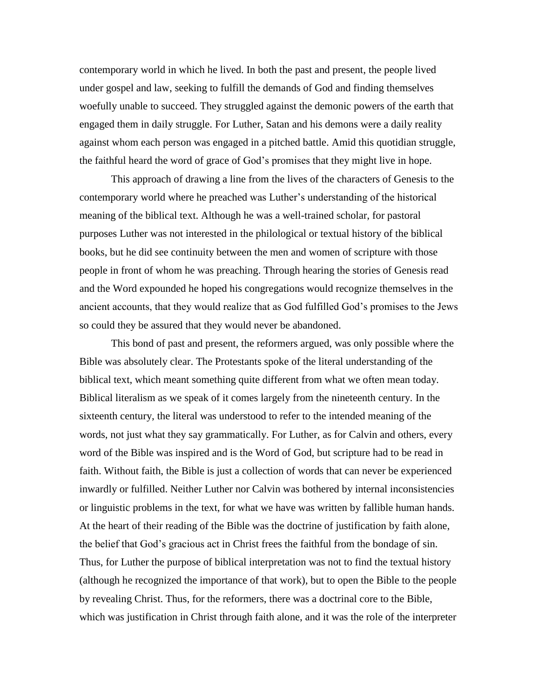contemporary world in which he lived. In both the past and present, the people lived under gospel and law, seeking to fulfill the demands of God and finding themselves woefully unable to succeed. They struggled against the demonic powers of the earth that engaged them in daily struggle. For Luther, Satan and his demons were a daily reality against whom each person was engaged in a pitched battle. Amid this quotidian struggle, the faithful heard the word of grace of God's promises that they might live in hope.

This approach of drawing a line from the lives of the characters of Genesis to the contemporary world where he preached was Luther's understanding of the historical meaning of the biblical text. Although he was a well-trained scholar, for pastoral purposes Luther was not interested in the philological or textual history of the biblical books, but he did see continuity between the men and women of scripture with those people in front of whom he was preaching. Through hearing the stories of Genesis read and the Word expounded he hoped his congregations would recognize themselves in the ancient accounts, that they would realize that as God fulfilled God's promises to the Jews so could they be assured that they would never be abandoned.

This bond of past and present, the reformers argued, was only possible where the Bible was absolutely clear. The Protestants spoke of the literal understanding of the biblical text, which meant something quite different from what we often mean today. Biblical literalism as we speak of it comes largely from the nineteenth century. In the sixteenth century, the literal was understood to refer to the intended meaning of the words, not just what they say grammatically. For Luther, as for Calvin and others, every word of the Bible was inspired and is the Word of God, but scripture had to be read in faith. Without faith, the Bible is just a collection of words that can never be experienced inwardly or fulfilled. Neither Luther nor Calvin was bothered by internal inconsistencies or linguistic problems in the text, for what we have was written by fallible human hands. At the heart of their reading of the Bible was the doctrine of justification by faith alone, the belief that God's gracious act in Christ frees the faithful from the bondage of sin. Thus, for Luther the purpose of biblical interpretation was not to find the textual history (although he recognized the importance of that work), but to open the Bible to the people by revealing Christ. Thus, for the reformers, there was a doctrinal core to the Bible, which was justification in Christ through faith alone, and it was the role of the interpreter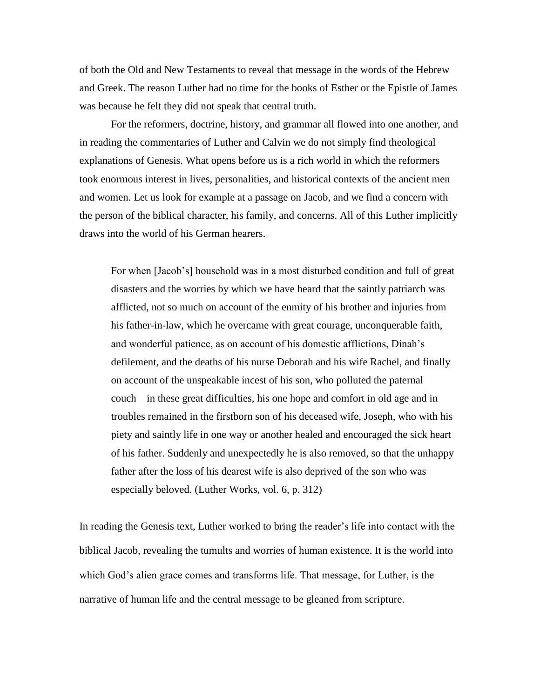of both the Old and New Testaments to reveal that message in the words of the Hebrew and Greek. The reason Luther had no time for the books of Esther or the Epistle of James was because he felt they did not speak that central truth.

For the reformers, doctrine, history, and grammar all flowed into one another, and in reading the commentaries of Luther and Calvin we do not simply find theological explanations of Genesis. What opens before us is a rich world in which the reformers took enormous interest in lives, personalities, and historical contexts of the ancient men and women. Let us look for example at a passage on Jacob, and we find a concern with the person of the biblical character, his family, and concerns. All of this Luther implicitly draws into the world of his German hearers.

For when [Jacob's] household was in a most disturbed condition and full of great disasters and the worries by which we have heard that the saintly patriarch was afflicted, not so much on account of the enmity of his brother and injuries from his father-in-law, which he overcame with great courage, unconquerable faith, and wonderful patience, as on account of his domestic afflictions, Dinah's defilement, and the deaths of his nurse Deborah and his wife Rachel, and finally on account of the unspeakable incest of his son, who polluted the paternal couch—in these great difficulties, his one hope and comfort in old age and in troubles remained in the firstborn son of his deceased wife, Joseph, who with his piety and saintly life in one way or another healed and encouraged the sick heart of his father. Suddenly and unexpectedly he is also removed, so that the unhappy father after the loss of his dearest wife is also deprived of the son who was especially beloved. (Luther Works, vol. 6, p. 312)

In reading the Genesis text, Luther worked to bring the reader's life into contact with the biblical Jacob, revealing the tumults and worries of human existence. It is the world into which God's alien grace comes and transforms life. That message, for Luther, is the narrative of human life and the central message to be gleaned from scripture.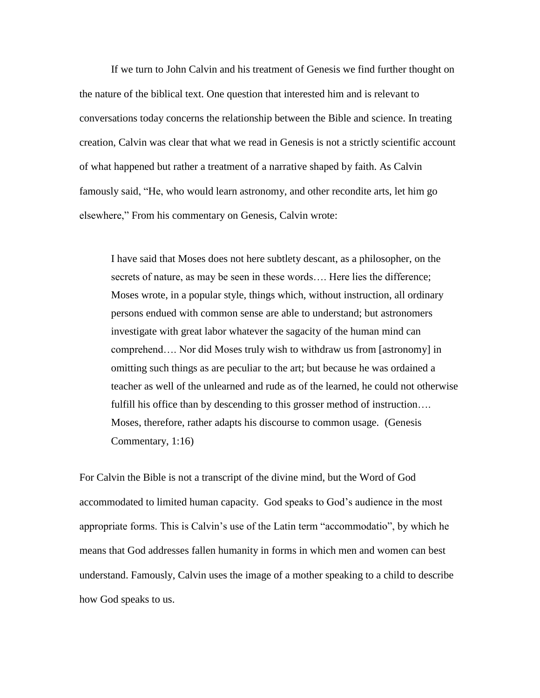If we turn to John Calvin and his treatment of Genesis we find further thought on the nature of the biblical text. One question that interested him and is relevant to conversations today concerns the relationship between the Bible and science. In treating creation, Calvin was clear that what we read in Genesis is not a strictly scientific account of what happened but rather a treatment of a narrative shaped by faith. As Calvin famously said, "He, who would learn astronomy, and other recondite arts, let him go elsewhere," From his commentary on Genesis, Calvin wrote:

I have said that Moses does not here subtlety descant, as a philosopher, on the secrets of nature, as may be seen in these words…. Here lies the difference; Moses wrote, in a popular style, things which, without instruction, all ordinary persons endued with common sense are able to understand; but astronomers investigate with great labor whatever the sagacity of the human mind can comprehend…. Nor did Moses truly wish to withdraw us from [astronomy] in omitting such things as are peculiar to the art; but because he was ordained a teacher as well of the unlearned and rude as of the learned, he could not otherwise fulfill his office than by descending to this grosser method of instruction... Moses, therefore, rather adapts his discourse to common usage. (Genesis Commentary, 1:16)

For Calvin the Bible is not a transcript of the divine mind, but the Word of God accommodated to limited human capacity. God speaks to God's audience in the most appropriate forms. This is Calvin's use of the Latin term "accommodatio", by which he means that God addresses fallen humanity in forms in which men and women can best understand. Famously, Calvin uses the image of a mother speaking to a child to describe how God speaks to us.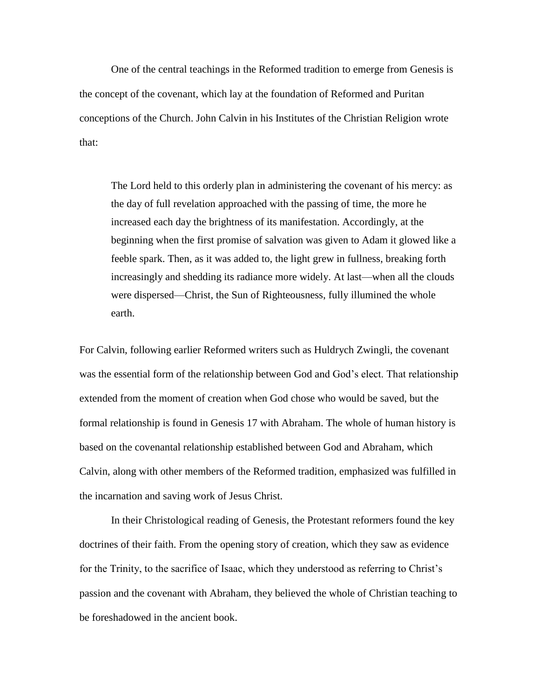One of the central teachings in the Reformed tradition to emerge from Genesis is the concept of the covenant, which lay at the foundation of Reformed and Puritan conceptions of the Church. John Calvin in his Institutes of the Christian Religion wrote that:

The Lord held to this orderly plan in administering the covenant of his mercy: as the day of full revelation approached with the passing of time, the more he increased each day the brightness of its manifestation. Accordingly, at the beginning when the first promise of salvation was given to Adam it glowed like a feeble spark. Then, as it was added to, the light grew in fullness, breaking forth increasingly and shedding its radiance more widely. At last—when all the clouds were dispersed—Christ, the Sun of Righteousness, fully illumined the whole earth.

For Calvin, following earlier Reformed writers such as Huldrych Zwingli, the covenant was the essential form of the relationship between God and God's elect. That relationship extended from the moment of creation when God chose who would be saved, but the formal relationship is found in Genesis 17 with Abraham. The whole of human history is based on the covenantal relationship established between God and Abraham, which Calvin, along with other members of the Reformed tradition, emphasized was fulfilled in the incarnation and saving work of Jesus Christ.

In their Christological reading of Genesis, the Protestant reformers found the key doctrines of their faith. From the opening story of creation, which they saw as evidence for the Trinity, to the sacrifice of Isaac, which they understood as referring to Christ's passion and the covenant with Abraham, they believed the whole of Christian teaching to be foreshadowed in the ancient book.